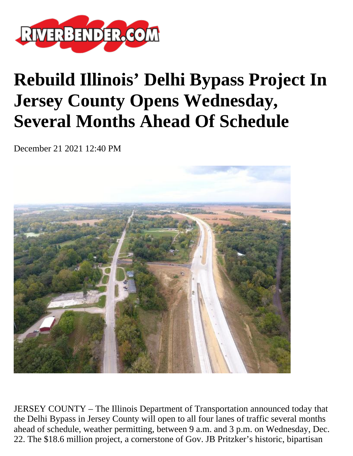

## **Rebuild Illinois' Delhi Bypass Project In Jersey County Opens Wednesday, Several Months Ahead Of Schedule**

December 21 2021 12:40 PM



JERSEY COUNTY – The Illinois Department of Transportation announced today that the Delhi Bypass in Jersey County will open to all four lanes of traffic several months ahead of schedule, weather permitting, between 9 a.m. and 3 p.m. on Wednesday, Dec. 22. The \$18.6 million project, a cornerstone of Gov. JB Pritzker's historic, bipartisan